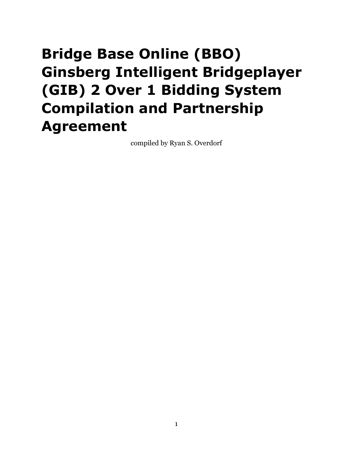# <span id="page-0-0"></span>**Bridge Base Online (BBO) Ginsberg Intelligent Bridgeplayer (GIB) 2 Over 1 Bidding System Compilation and Partnership Agreement**

compiled by Ryan S. Overdorf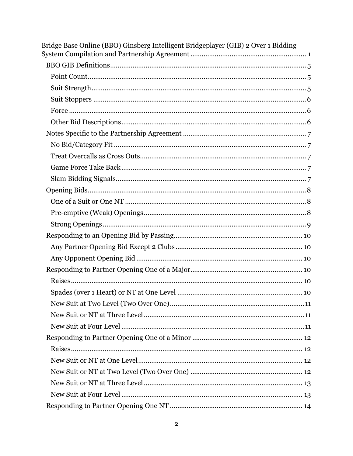| Bridge Base Online (BBO) Ginsberg Intelligent Bridgeplayer (GIB) 2 Over 1 Bidding |
|-----------------------------------------------------------------------------------|
|                                                                                   |
|                                                                                   |
|                                                                                   |
|                                                                                   |
|                                                                                   |
|                                                                                   |
|                                                                                   |
|                                                                                   |
|                                                                                   |
|                                                                                   |
|                                                                                   |
|                                                                                   |
|                                                                                   |
|                                                                                   |
|                                                                                   |
|                                                                                   |
|                                                                                   |
|                                                                                   |
|                                                                                   |
|                                                                                   |
|                                                                                   |
|                                                                                   |
|                                                                                   |
|                                                                                   |
|                                                                                   |
|                                                                                   |
|                                                                                   |
|                                                                                   |
|                                                                                   |
|                                                                                   |
|                                                                                   |
|                                                                                   |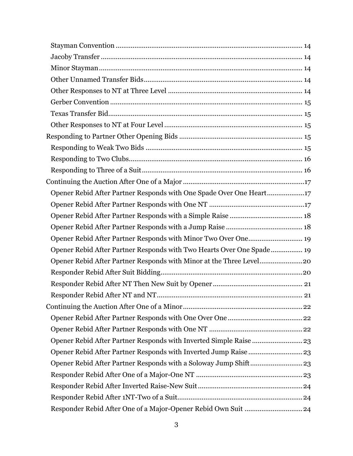| Opener Rebid After Partner Responds with One Spade Over One Heart17   |  |
|-----------------------------------------------------------------------|--|
|                                                                       |  |
|                                                                       |  |
|                                                                       |  |
|                                                                       |  |
| Opener Rebid After Partner Responds with Two Hearts Over One Spade 19 |  |
| Opener Rebid After Partner Responds with Minor at the Three Level20   |  |
|                                                                       |  |
|                                                                       |  |
|                                                                       |  |
|                                                                       |  |
|                                                                       |  |
|                                                                       |  |
|                                                                       |  |
| Opener Rebid After Partner Responds with Inverted Jump Raise  23      |  |
| Opener Rebid After Partner Responds with a Soloway Jump Shift 23      |  |
|                                                                       |  |
|                                                                       |  |
|                                                                       |  |
| Responder Rebid After One of a Major-Opener Rebid Own Suit  24        |  |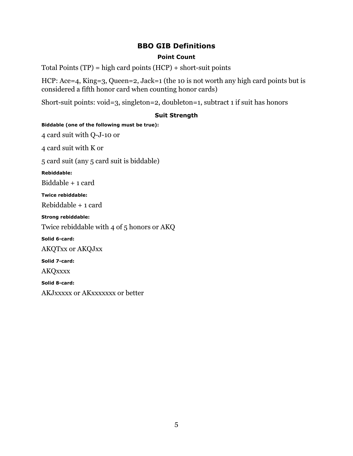# **BBO GIB Definitions**

# **Point Count**

<span id="page-4-1"></span><span id="page-4-0"></span>Total Points (TP) = high card points (HCP) + short-suit points

HCP: Ace=4, King=3, Queen=2, Jack=1 (the 10 is not worth any high card points but is considered a fifth honor card when counting honor cards)

Short-suit points: void=3, singleton=2, doubleton=1, subtract 1 if suit has honors

# **Suit Strength**

<span id="page-4-2"></span>**Biddable (one of the following must be true):** 4 card suit with Q-J-10 or 4 card suit with K or 5 card suit (any 5 card suit is biddable) **Rebiddable:** Biddable + 1 card **Twice rebiddable:** Rebiddable + 1 card **Strong rebiddable:** Twice rebiddable with 4 of 5 honors or AKQ **Solid 6-card:** AKQTxx or AKQJxx **Solid 7-card: AKQxxxx Solid 8-card:** AKJxxxxx or AKxxxxxxx or better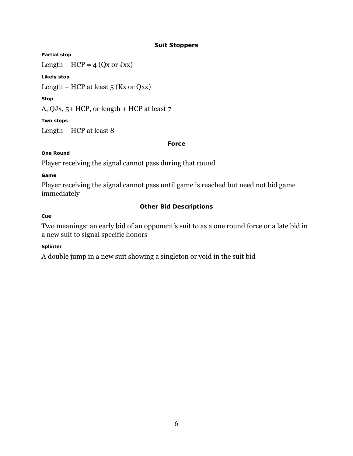# **Suit Stoppers**

# <span id="page-5-0"></span>**Partial stop**

Length +  $HCP = 4$  (Qx or Jxx)

# **Likely stop**

Length + HCP at least  $5$  (Kx or Qxx)

# **Stop**

A, QJx, 5+ HCP, or length + HCP at least 7

# **Two stops**

Length + HCP at least 8

# **Force**

# <span id="page-5-1"></span>**One Round**

Player receiving the signal cannot pass during that round

# **Game**

Player receiving the signal cannot pass until game is reached but need not bid game immediately

# **Other Bid Descriptions**

# <span id="page-5-2"></span>**Cue**

Two meanings: an early bid of an opponent's suit to as a one round force or a late bid in a new suit to signal specific honors

# **Splinter**

A double jump in a new suit showing a singleton or void in the suit bid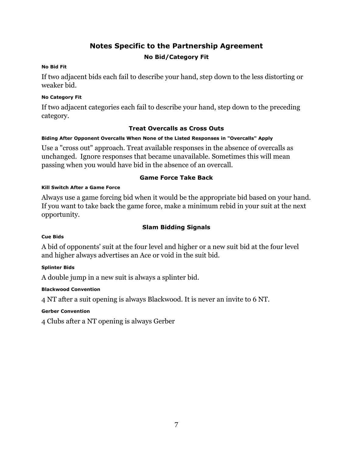# **Notes Specific to the Partnership Agreement**

# **No Bid/Category Fit**

# <span id="page-6-1"></span><span id="page-6-0"></span>**No Bid Fit**

If two adjacent bids each fail to describe your hand, step down to the less distorting or weaker bid.

# **No Category Fit**

If two adjacent categories each fail to describe your hand, step down to the preceding category.

# **Treat Overcalls as Cross Outs**

# <span id="page-6-2"></span>**Biding After Opponent Overcalls When None of the Listed Responses in "Overcalls" Apply**

Use a "cross out" approach. Treat available responses in the absence of overcalls as unchanged. Ignore responses that became unavailable. Sometimes this will mean passing when you would have bid in the absence of an overcall.

# **Game Force Take Back**

# <span id="page-6-3"></span>**Kill Switch After a Game Force**

Always use a game forcing bid when it would be the appropriate bid based on your hand. If you want to take back the game force, make a minimum rebid in your suit at the next opportunity.

# **Slam Bidding Signals**

# <span id="page-6-4"></span>**Cue Bids**

A bid of opponents' suit at the four level and higher or a new suit bid at the four level and higher always advertises an Ace or void in the suit bid.

# **Splinter Bids**

A double jump in a new suit is always a splinter bid.

# **Blackwood Convention**

4 NT after a suit opening is always Blackwood. It is never an invite to 6 NT.

# **Gerber Convention**

4 Clubs after a NT opening is always Gerber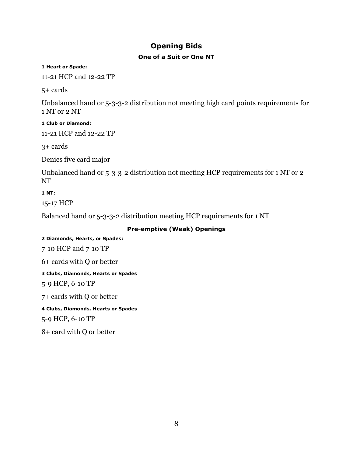# **Opening Bids**

# **One of a Suit or One NT**

<span id="page-7-1"></span><span id="page-7-0"></span>**1 Heart or Spade:**

11-21 HCP and 12-22 TP

5+ cards

Unbalanced hand or 5-3-3-2 distribution not meeting high card points requirements for 1 NT or 2 NT

**1 Club or Diamond:** 11-21 HCP and 12-22 TP

3+ cards

Denies five card major

Unbalanced hand or 5-3-3-2 distribution not meeting HCP requirements for 1 NT or 2 NT

**1 NT:**

15-17 HCP

Balanced hand or 5-3-3-2 distribution meeting HCP requirements for 1 NT

# **Pre-emptive (Weak) Openings**

<span id="page-7-2"></span>**2 Diamonds, Hearts, or Spades:** 7-10 HCP and 7-10 TP 6+ cards with Q or better **3 Clubs, Diamonds, Hearts or Spades** 5-9 HCP, 6-10 TP 7+ cards with Q or better **4 Clubs, Diamonds, Hearts or Spades** 5-9 HCP, 6-10 TP 8+ card with Q or better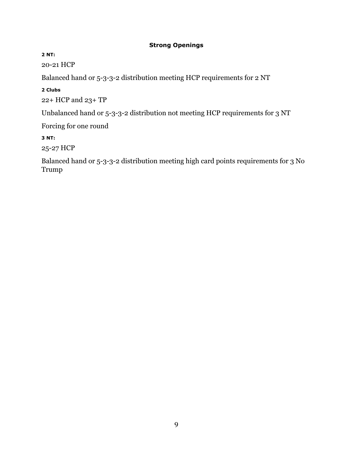# **Strong Openings**

<span id="page-8-0"></span>**2 NT:**

20-21 HCP

Balanced hand or 5-3-3-2 distribution meeting HCP requirements for 2 NT

**2 Clubs**

22+ HCP and 23+ TP

Unbalanced hand or 5-3-3-2 distribution not meeting HCP requirements for 3 NT

Forcing for one round

**3 NT:**

25-27 HCP

Balanced hand or 5-3-3-2 distribution meeting high card points requirements for 3 No Trump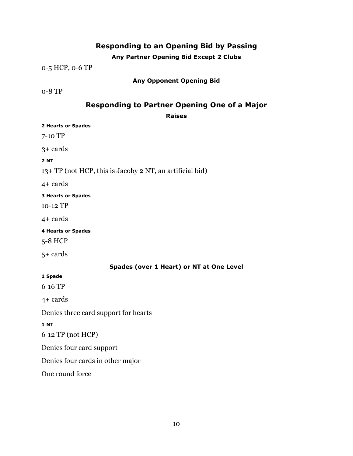# **Responding to an Opening Bid by Passing**

# **Any Partner Opening Bid Except 2 Clubs**

<span id="page-9-1"></span><span id="page-9-0"></span>0-5 HCP, 0-6 TP

# **Any Opponent Opening Bid**

<span id="page-9-3"></span><span id="page-9-2"></span>0-8 TP

# **Responding to Partner Opening One of a Major**

# <span id="page-9-5"></span><span id="page-9-4"></span>**Raises 2 Hearts or Spades** 7-10 TP 3+ cards **2 NT** 13+ TP (not HCP, this is Jacoby 2 NT, an artificial bid) 4+ cards **3 Hearts or Spades** 10-12 TP 4+ cards **4 Hearts or Spades** 5-8 HCP 5+ cards **Spades (over 1 Heart) or NT at One Level 1 Spade** 6-16 TP 4+ cards Denies three card support for hearts **1 NT** 6-12 TP (not HCP) Denies four card support Denies four cards in other major One round force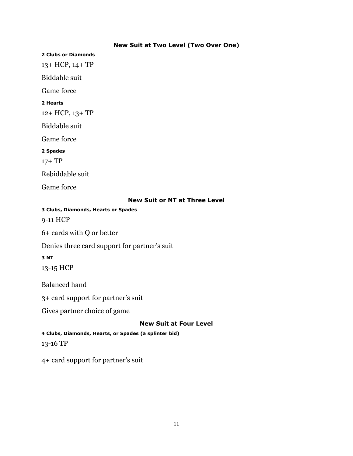# **New Suit at Two Level (Two Over One)**

<span id="page-10-0"></span>**2 Clubs or Diamonds** 13+ HCP, 14+ TP Biddable suit Game force **2 Hearts** 12+ HCP, 13+ TP Biddable suit Game force **2 Spades** 17+ TP Rebiddable suit Game force

# **New Suit or NT at Three Level**

<span id="page-10-1"></span>**3 Clubs, Diamonds, Hearts or Spades**

9-11 HCP

6+ cards with Q or better

Denies three card support for partner's suit

#### **3 NT**

13-15 HCP

Balanced hand

3+ card support for partner's suit

Gives partner choice of game

#### **New Suit at Four Level**

<span id="page-10-2"></span>**4 Clubs, Diamonds, Hearts, or Spades (a splinter bid)**

13-16 TP

4+ card support for partner's suit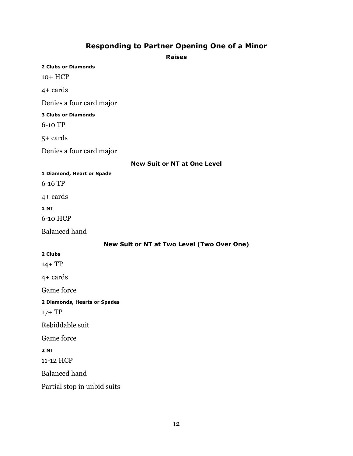# **Responding to Partner Opening One of a Minor**

**Raises**

<span id="page-11-2"></span><span id="page-11-1"></span><span id="page-11-0"></span>**2 Clubs or Diamonds** 10+ HCP 4+ cards Denies a four card major **3 Clubs or Diamonds** 6-10 TP 5+ cards Denies a four card major **New Suit or NT at One Level 1 Diamond, Heart or Spade** 6-16 TP 4+ cards **1 NT** 6-10 HCP Balanced hand **New Suit or NT at Two Level (Two Over One) 2 Clubs** 14+ TP 4+ cards Game force **2 Diamonds, Hearts or Spades** 17+ TP Rebiddable suit Game force **2 NT** 11-12 HCP Balanced hand

<span id="page-11-3"></span>Partial stop in unbid suits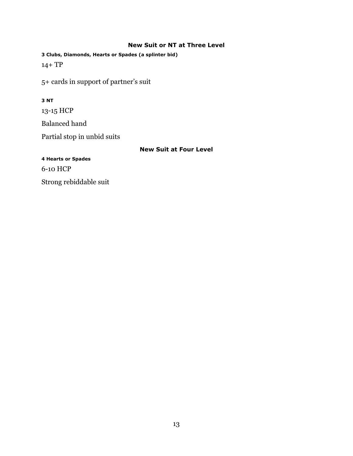#### **New Suit or NT at Three Level**

<span id="page-12-0"></span>**3 Clubs, Diamonds, Hearts or Spades (a splinter bid)** 14+ TP

5+ cards in support of partner's suit

# **3 NT**

13-15 HCP Balanced hand Partial stop in unbid suits

# **New Suit at Four Level**

<span id="page-12-1"></span>**4 Hearts or Spades**

6-10 HCP

Strong rebiddable suit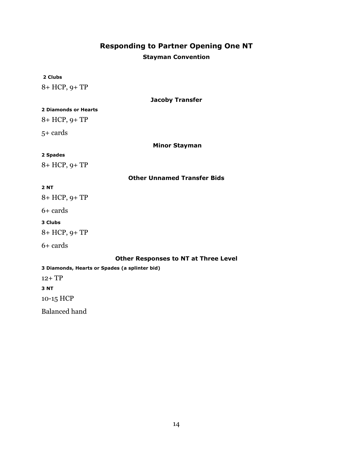# **Responding to Partner Opening One NT**

# **Stayman Convention**

#### <span id="page-13-1"></span><span id="page-13-0"></span>**2 Clubs**

8+ HCP, 9+ TP

#### **Jacoby Transfer**

#### <span id="page-13-2"></span>**2 Diamonds or Hearts**

8+ HCP, 9+ TP

5+ cards

<span id="page-13-3"></span>**Minor Stayman** 

#### **2 Spades**

8+ HCP, 9+ TP

# **Other Unnamed Transfer Bids**

#### <span id="page-13-4"></span>**2 NT**

8+ HCP, 9+ TP

6+ cards

#### **3 Clubs**

8+ HCP, 9+ TP

# 6+ cards

**Other Responses to NT at Three Level**

<span id="page-13-5"></span>**3 Diamonds, Hearts or Spades (a splinter bid)**

12+ TP

**3 NT**

10-15 HCP

Balanced hand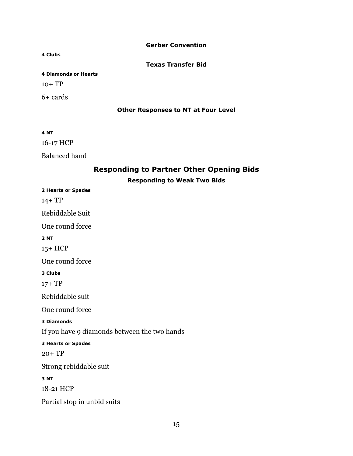#### **Gerber Convention**

#### <span id="page-14-1"></span><span id="page-14-0"></span>**4 Clubs**

**Texas Transfer Bid**

# **4 Diamonds or Hearts**

 $10+ TP$ 

<span id="page-14-2"></span>6+ cards

#### **Other Responses to NT at Four Level**

#### **4 NT**

16-17 HCP

<span id="page-14-3"></span>Balanced hand

# **Responding to Partner Other Opening Bids**

# **Responding to Weak Two Bids**

<span id="page-14-4"></span>**2 Hearts or Spades** 14+ TP Rebiddable Suit One round force **2 NT** 15+ HCP One round force **3 Clubs**  17+ TP Rebiddable suit One round force **3 Diamonds**  If you have 9 diamonds between the two hands **3 Hearts or Spades** 20+ TP Strong rebiddable suit **3 NT** 18-21 HCP Partial stop in unbid suits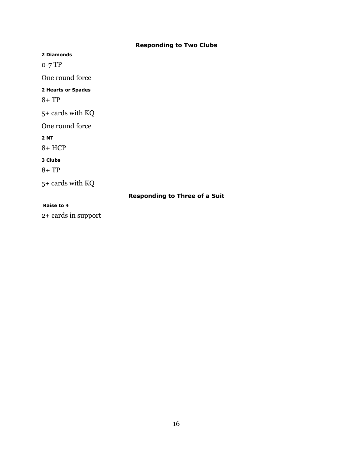# **Responding to Two Clubs**

<span id="page-15-0"></span>**2 Diamonds**

0-7 TP

One round force

**2 Hearts or Spades**

8+ TP

5+ cards with KQ

One round force

**2 NT**

8+ HCP

**3 Clubs**

8+ TP

5+ cards with KQ

# **Responding to Three of a Suit**

#### <span id="page-15-1"></span>**Raise to 4**

2+ cards in support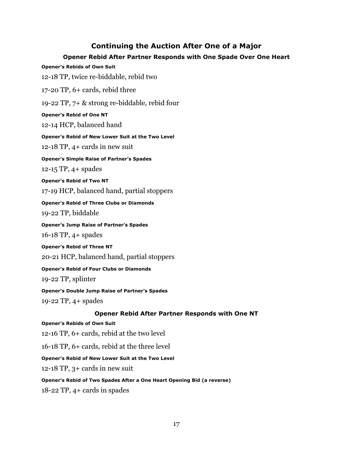# **Continuing the Auction After One of a Major**

# **Opener Rebid After Partner Responds with One Spade Over One Heart**

<span id="page-16-1"></span><span id="page-16-0"></span>**Opener's Rebids of Own Suit** 

12-18 TP, twice re-biddable, rebid two

17-20 TP, 6+ cards, rebid three

19-22 TP, 7+ & strong re-biddable, rebid four

**Opener's Rebid of One NT**

12-14 HCP, balanced hand

**Opener's Rebid of New Lower Suit at the Two Level**

12-18 TP, 4+ cards in new suit

**Opener's Simple Raise of Partner's Spades**

12-15 TP, 4+ spades

**Opener's Rebid of Two NT**

17-19 HCP, balanced hand, partial stoppers

**Opener's Rebid of Three Clubs or Diamonds** 19-22 TP, biddable

**Opener's Jump Raise of Partner's Spades** 16-18 TP, 4+ spades

**Opener's Rebid of Three NT** 20-21 HCP, balanced hand, partial stoppers

**Opener's Rebid of Four Clubs or Diamonds** 19-22 TP, splinter

**Opener's Double Jump Raise of Partner's Spades** 19-22 TP, 4+ spades

# **Opener Rebid After Partner Responds with One NT**

#### <span id="page-16-2"></span>**Opener's Rebids of Own Suit**

12-16 TP, 6+ cards, rebid at the two level

16-18 TP, 6+ cards, rebid at the three level

**Opener's Rebid of New Lower Suit at the Two Level**

12-18 TP, 3+ cards in new suit

#### **Opener's Rebid of Two Spades After a One Heart Opening Bid (a reverse)**

18-22 TP, 4+ cards in spades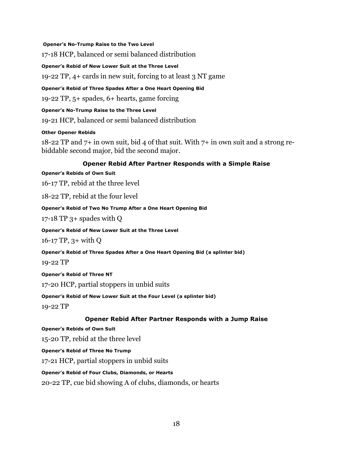#### **Opener's No-Trump Raise to the Two Level**

17-18 HCP, balanced or semi balanced distribution

**Opener's Rebid of New Lower Suit at the Three Level**

19-22 TP, 4+ cards in new suit, forcing to at least 3 NT game

**Opener's Rebid of Three Spades After a One Heart Opening Bid**

19-22 TP, 5+ spades, 6+ hearts, game forcing

# **Opener's No-Trump Raise to the Three Level**

19-21 HCP, balanced or semi balanced distribution

# **Other Opener Rebids**

18-22 TP and 7+ in own suit, bid 4 of that suit. With 7+ in own suit and a strong rebiddable second major, bid the second major.

# **Opener Rebid After Partner Responds with a Simple Raise**

#### <span id="page-17-0"></span>**Opener's Rebids of Own Suit**

16-17 TP, rebid at the three level

18-22 TP, rebid at the four level

# **Opener's Rebid of Two No Trump After a One Heart Opening Bid**

17-18 TP  $3+$  spades with Q

### **Opener's Rebid of New Lower Suit at the Three Level**

16-17 TP, 3+ with Q

# **Opener's Rebid of Three Spades After a One Heart Opening Bid (a splinter bid)**

19-22 TP

# **Opener's Rebid of Three NT**

17-20 HCP, partial stoppers in unbid suits

**Opener's Rebid of New Lower Suit at the Four Level (a splinter bid)**

19-22 TP

# **Opener Rebid After Partner Responds with a Jump Raise**

# <span id="page-17-1"></span>**Opener's Rebids of Own Suit**

15-20 TP, rebid at the three level

**Opener's Rebid of Three No Trump**

17-21 HCP, partial stoppers in unbid suits

# **Opener's Rebid of Four Clubs, Diamonds, or Hearts**

20-22 TP, cue bid showing A of clubs, diamonds, or hearts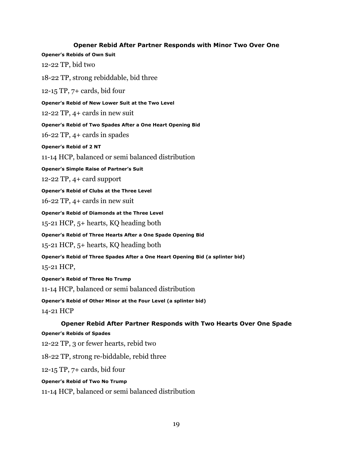<span id="page-18-0"></span>**Opener Rebid After Partner Responds with Minor Two Over One Opener's Rebids of Own Suit**  12-22 TP, bid two 18-22 TP, strong rebiddable, bid three 12-15 TP, 7+ cards, bid four **Opener's Rebid of New Lower Suit at the Two Level** 12-22 TP, 4+ cards in new suit **Opener's Rebid of Two Spades After a One Heart Opening Bid** 16-22 TP, 4+ cards in spades **Opener's Rebid of 2 NT** 11-14 HCP, balanced or semi balanced distribution **Opener's Simple Raise of Partner's Suit** 12-22 TP, 4+ card support **Opener's Rebid of Clubs at the Three Level** 16-22 TP, 4+ cards in new suit **Opener's Rebid of Diamonds at the Three Level** 15-21 HCP, 5+ hearts, KQ heading both **Opener's Rebid of Three Hearts After a One Spade Opening Bid** 15-21 HCP, 5+ hearts, KQ heading both **Opener's Rebid of Three Spades After a One Heart Opening Bid (a splinter bid)** 15-21 HCP, **Opener's Rebid of Three No Trump** 11-14 HCP, balanced or semi balanced distribution **Opener's Rebid of Other Minor at the Four Level (a splinter bid)** 14-21 HCP **Opener Rebid After Partner Responds with Two Hearts Over One Spade Opener's Rebids of Spades** 12-22 TP, 3 or fewer hearts, rebid two 18-22 TP, strong re-biddable, rebid three 12-15 TP, 7+ cards, bid four

#### <span id="page-18-1"></span>**Opener's Rebid of Two No Trump**

11-14 HCP, balanced or semi balanced distribution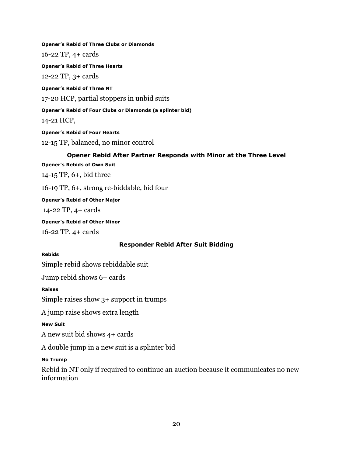**Opener's Rebid of Three Clubs or Diamonds** 16-22 TP, 4+ cards **Opener's Rebid of Three Hearts** 12-22 TP, 3+ cards **Opener's Rebid of Three NT** 17-20 HCP, partial stoppers in unbid suits **Opener's Rebid of Four Clubs or Diamonds (a splinter bid)** 14-21 HCP, **Opener's Rebid of Four Hearts** 12-15 TP, balanced, no minor control

#### **Opener Rebid After Partner Responds with Minor at the Three Level**

<span id="page-19-0"></span>**Opener's Rebids of Own Suit** 

14-15 TP, 6+, bid three

16-19 TP, 6+, strong re-biddable, bid four

**Opener's Rebid of Other Major**

14-22 TP, 4+ cards

**Opener's Rebid of Other Minor** 16-22 TP, 4+ cards

# **Responder Rebid After Suit Bidding**

#### <span id="page-19-1"></span>**Rebids**

Simple rebid shows rebiddable suit

Jump rebid shows 6+ cards

**Raises**

Simple raises show 3+ support in trumps

A jump raise shows extra length

#### **New Suit**

A new suit bid shows 4+ cards

A double jump in a new suit is a splinter bid

#### **No Trump**

Rebid in NT only if required to continue an auction because it communicates no new information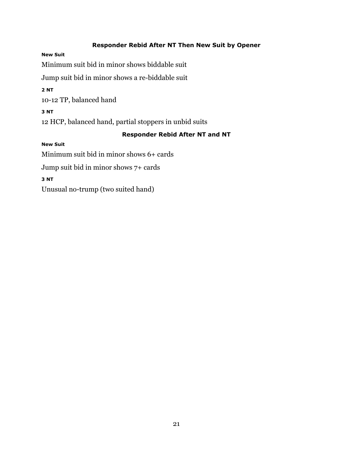# **Responder Rebid After NT Then New Suit by Opener**

#### <span id="page-20-0"></span>**New Suit**

Minimum suit bid in minor shows biddable suit

Jump suit bid in minor shows a re-biddable suit

**2 NT** 

10-12 TP, balanced hand

# **3 NT**

12 HCP, balanced hand, partial stoppers in unbid suits

# **Responder Rebid After NT and NT**

# <span id="page-20-1"></span>**New Suit**

Minimum suit bid in minor shows 6+ cards

Jump suit bid in minor shows 7+ cards

# **3 NT**

Unusual no-trump (two suited hand)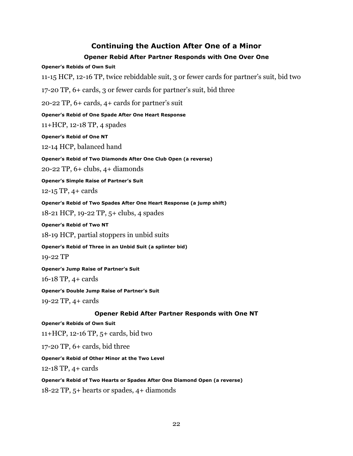# **Continuing the Auction After One of a Minor**

# **Opener Rebid After Partner Responds with One Over One**

#### <span id="page-21-1"></span><span id="page-21-0"></span>**Opener's Rebids of Own Suit**

11-15 HCP, 12-16 TP, twice rebiddable suit, 3 or fewer cards for partner's suit, bid two

17-20 TP, 6+ cards, 3 or fewer cards for partner's suit, bid three

20-22 TP, 6+ cards, 4+ cards for partner's suit

# **Opener's Rebid of One Spade After One Heart Response**

11+HCP, 12-18 TP, 4 spades

# **Opener's Rebid of One NT**

12-14 HCP, balanced hand

**Opener's Rebid of Two Diamonds After One Club Open (a reverse)** 

20-22 TP, 6+ clubs, 4+ diamonds

**Opener's Simple Raise of Partner's Suit**

12-15 TP, 4+ cards

**Opener's Rebid of Two Spades After One Heart Response (a jump shift)**

18-21 HCP, 19-22 TP, 5+ clubs, 4 spades

#### **Opener's Rebid of Two NT**

18-19 HCP, partial stoppers in unbid suits

**Opener's Rebid of Three in an Unbid Suit (a splinter bid)**

19-22 TP

**Opener's Jump Raise of Partner's Suit** 16-18 TP, 4+ cards

**Opener's Double Jump Raise of Partner's Suit**

19-22 TP, 4+ cards

# **Opener Rebid After Partner Responds with One NT**

#### <span id="page-21-2"></span>**Opener's Rebids of Own Suit**

11+HCP, 12-16 TP, 5+ cards, bid two

17-20 TP, 6+ cards, bid three

# **Opener's Rebid of Other Minor at the Two Level**

12-18 TP, 4+ cards

#### **Opener's Rebid of Two Hearts or Spades After One Diamond Open (a reverse)**

18-22 TP, 5+ hearts or spades, 4+ diamonds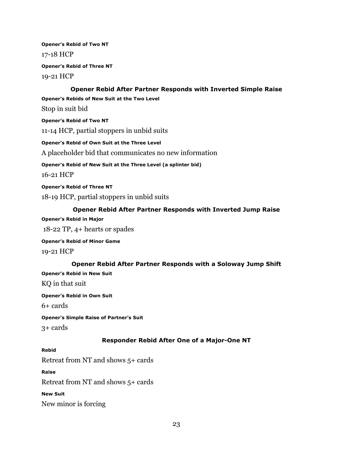**Opener's Rebid of Two NT** 17-18 HCP

**Opener's Rebid of Three NT** 19-21 HCP

### **Opener Rebid After Partner Responds with Inverted Simple Raise**

<span id="page-22-0"></span>**Opener's Rebids of New Suit at the Two Level**

Stop in suit bid

**Opener's Rebid of Two NT**

11-14 HCP, partial stoppers in unbid suits

**Opener's Rebid of Own Suit at the Three Level**

A placeholder bid that communicates no new information

**Opener's Rebid of New Suit at the Three Level (a splinter bid)**

16-21 HCP

**Opener's Rebid of Three NT** 18-19 HCP, partial stoppers in unbid suits

# **Opener Rebid After Partner Responds with Inverted Jump Raise**

<span id="page-22-1"></span>**Opener's Rebid in Major**

18-22 TP, 4+ hearts or spades

**Opener's Rebid of Minor Game** 19-21 HCP

# **Opener Rebid After Partner Responds with a Soloway Jump Shift**

<span id="page-22-2"></span>**Opener's Rebid in New Suit** 

KQ in that suit

**Opener's Rebid in Own Suit** 

 $6+$  cards

**Opener's Simple Raise of Partner's Suit**

3+ cards

# **Responder Rebid After One of a Major-One NT**

<span id="page-22-3"></span>**Rebid**

Retreat from NT and shows 5+ cards

**Raise** 

Retreat from NT and shows 5+ cards

**New Suit**

New minor is forcing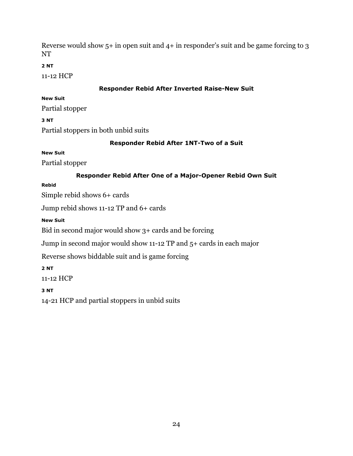Reverse would show  $5+$  in open suit and  $4+$  in responder's suit and be game forcing to 3 NT

# **2 NT**

11-12 HCP

# **Responder Rebid After Inverted Raise-New Suit**

# <span id="page-23-0"></span>**New Suit**

Partial stopper

# **3 NT**

Partial stoppers in both unbid suits

# **Responder Rebid After 1NT-Two of a Suit**

# <span id="page-23-1"></span>**New Suit**

Partial stopper

# **Responder Rebid After One of a Major-Opener Rebid Own Suit**

# <span id="page-23-2"></span>**Rebid**

Simple rebid shows 6+ cards

Jump rebid shows 11-12 TP and 6+ cards

# **New Suit**

Bid in second major would show 3+ cards and be forcing

Jump in second major would show 11-12 TP and 5+ cards in each major

Reverse shows biddable suit and is game forcing

# **2 NT**

11-12 HCP

# **3 NT**

14-21 HCP and partial stoppers in unbid suits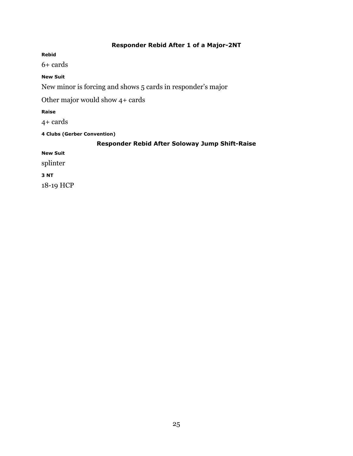# **Responder Rebid After 1 of a Major-2NT**

<span id="page-24-0"></span>**Rebid**

6+ cards

# **New Suit**

New minor is forcing and shows 5 cards in responder's major

Other major would show 4+ cards

**Raise**

4+ cards

<span id="page-24-1"></span>**4 Clubs (Gerber Convention)**

# **Responder Rebid After Soloway Jump Shift-Raise**

**New Suit** 

splinter

**3 NT** 

18-19 HCP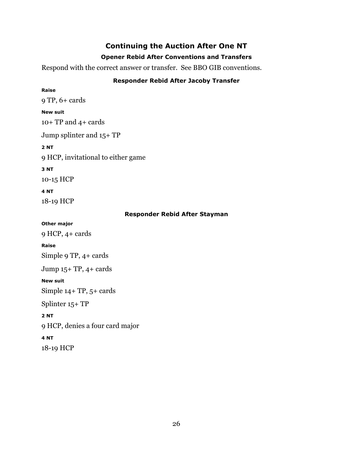# **Continuing the Auction After One NT**

# **Opener Rebid After Conventions and Transfers**

<span id="page-25-1"></span><span id="page-25-0"></span>Respond with the correct answer or transfer. See BBO GIB conventions.

# **Responder Rebid After Jacoby Transfer**

<span id="page-25-2"></span>**Raise** 9 TP, 6+ cards **New suit** 10+ TP and 4+ cards Jump splinter and 15+ TP **2 NT**  9 HCP, invitational to either game **3 NT**  10-15 HCP **4 NT**  18-19 HCP **Responder Rebid After Stayman Other major**

<span id="page-25-3"></span>9 HCP, 4+ cards **Raise** Simple 9 TP, 4+ cards Jump 15+ TP, 4+ cards **New suit** Simple 14+ TP, 5+ cards Splinter 15+ TP **2 NT**  9 HCP, denies a four card major **4 NT**  18-19 HCP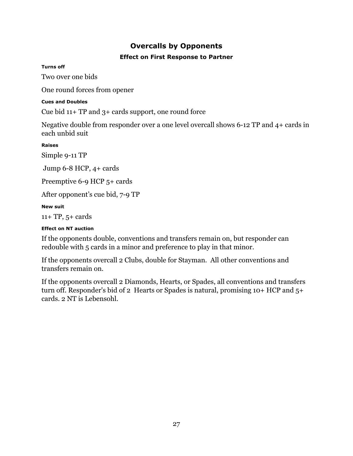# **Overcalls by Opponents**

# **Effect on First Response to Partner**

# <span id="page-26-1"></span><span id="page-26-0"></span>**Turns off**

Two 0ver one bids

One round forces from opener

# **Cues and Doubles**

Cue bid 11+ TP and 3+ cards support, one round force

Negative double from responder over a one level overcall shows 6-12 TP and 4+ cards in each unbid suit

**Raises**

Simple 9-11 TP

Jump 6-8 HCP, 4+ cards

Preemptive 6-9 HCP 5+ cards

After opponent's cue bid, 7-9 TP

# **New suit**

11+ TP, 5+ cards

# **Effect on NT auction**

If the opponents double, conventions and transfers remain on, but responder can redouble with 5 cards in a minor and preference to play in that minor.

If the opponents overcall 2 Clubs, double for Stayman. All other conventions and transfers remain on.

If the opponents overcall 2 Diamonds, Hearts, or Spades, all conventions and transfers turn off. Responder's bid of 2 Hearts or Spades is natural, promising  $10+HCP$  and  $5+$ cards. 2 NT is Lebensohl.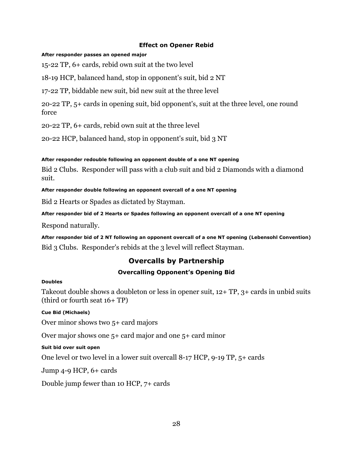# **Effect on Opener Rebid**

# <span id="page-27-0"></span>**After responder passes an opened major**

15-22 TP, 6+ cards, rebid own suit at the two level

18-19 HCP, balanced hand, stop in opponent's suit, bid 2 NT

17-22 TP, biddable new suit, bid new suit at the three level

20-22 TP, 5+ cards in opening suit, bid opponent's, suit at the three level, one round force

20-22 TP, 6+ cards, rebid own suit at the three level

20-22 HCP, balanced hand, stop in opponent's suit, bid 3 NT

# **After responder redouble following an opponent double of a one NT opening**

Bid 2 Clubs. Responder will pass with a club suit and bid 2 Diamonds with a diamond suit.

**After responder double following an opponent overcall of a one NT opening**

Bid 2 Hearts or Spades as dictated by Stayman.

**After responder bid of 2 Hearts or Spades following an opponent overcall of a one NT opening**

Respond naturally.

**After responder bid of 2 NT following an opponent overcall of a one NT opening (Lebensohl Convention)** Bid 3 Clubs. Responder's rebids at the 3 level will reflect Stayman.

# **Overcalls by Partnership**

# **Overcalling Opponent's Opening Bid**

#### <span id="page-27-2"></span><span id="page-27-1"></span>**Doubles**

Takeout double shows a doubleton or less in opener suit, 12+ TP, 3+ cards in unbid suits (third or fourth seat 16+ TP)

# **Cue Bid (Michaels)**

Over minor shows two 5+ card majors

Over major shows one 5+ card major and one 5+ card minor

# **Suit bid over suit open**

One level or two level in a lower suit overcall 8-17 HCP, 9-19 TP, 5+ cards

Jump 4-9 HCP, 6+ cards

Double jump fewer than 10 HCP, 7+ cards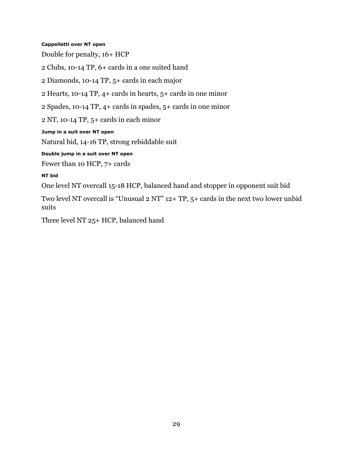#### **Cappelletti over NT open**

Double for penalty, 16+ HCP

2 Clubs, 10-14 TP, 6+ cards in a one suited hand

2 Diamonds, 10-14 TP, 5+ cards in each major

2 Hearts, 10-14 TP, 4+ cards in hearts, 5+ cards in one minor

2 Spades, 10-14 TP, 4+ cards in spades, 5+ cards in one minor

2 NT, 10-14 TP, 5+ cards in each minor

**Jump in a suit over NT open**

Natural bid, 14-16 TP, strong rebiddable suit

**Double jump in a suit over NT open**

Fewer than 10 HCP, 7+ cards

#### **NT bid**

One level NT overcall 15-18 HCP, balanced hand and stopper in opponent suit bid

Two level NT overcall is "Unusual 2 NT" 12+ TP, 5+ cards in the next two lower unbid suits

Three level NT 25+ HCP, balanced hand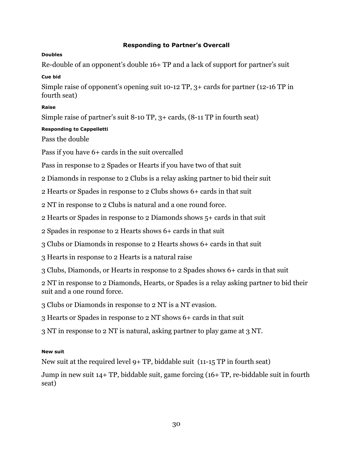# **Responding to Partner's Overcall**

# <span id="page-29-0"></span>**Doubles**

Re-double of an opponent's double 16+ TP and a lack of support for partner's suit

# **Cue bid**

Simple raise of opponent's opening suit 10-12 TP, 3+ cards for partner (12-16 TP in fourth seat)

# **Raise**

Simple raise of partner's suit 8-10 TP, 3+ cards, (8-11 TP in fourth seat)

# **Responding to Cappelletti**

Pass the double

Pass if you have 6+ cards in the suit overcalled

Pass in response to 2 Spades or Hearts if you have two of that suit

2 Diamonds in response to 2 Clubs is a relay asking partner to bid their suit

2 Hearts or Spades in response to 2 Clubs shows 6+ cards in that suit

2 NT in response to 2 Clubs is natural and a one round force.

2 Hearts or Spades in response to 2 Diamonds shows 5+ cards in that suit

2 Spades in response to 2 Hearts shows 6+ cards in that suit

3 Clubs or Diamonds in response to 2 Hearts shows 6+ cards in that suit

3 Hearts in response to 2 Hearts is a natural raise

3 Clubs, Diamonds, or Hearts in response to 2 Spades shows 6+ cards in that suit

2 NT in response to 2 Diamonds, Hearts, or Spades is a relay asking partner to bid their suit and a one round force.

3 Clubs or Diamonds in response to 2 NT is a NT evasion.

3 Hearts or Spades in response to 2 NT shows 6+ cards in that suit

3 NT in response to 2 NT is natural, asking partner to play game at 3 NT.

# **New suit**

New suit at the required level 9+ TP, biddable suit (11-15 TP in fourth seat)

Jump in new suit 14+ TP, biddable suit, game forcing (16+ TP, re-biddable suit in fourth seat)